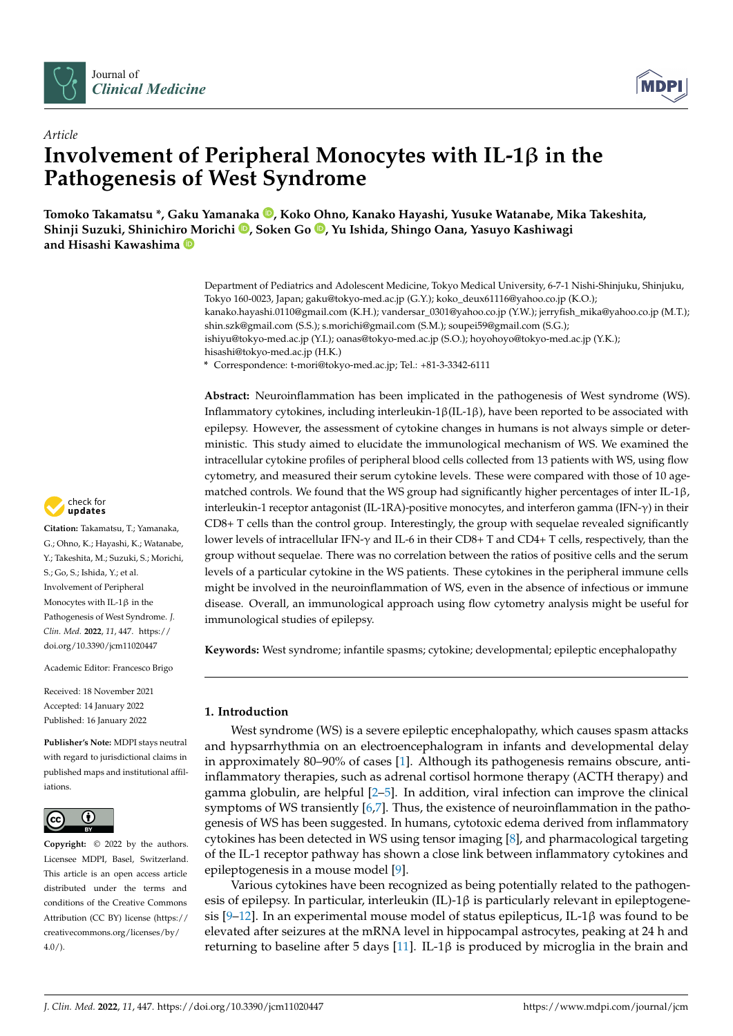



# *Article* **Involvement of Peripheral Monocytes with IL-1**β **in the Pathogenesis of West Syndrome**

**Tomoko Takamatsu \*, Gaku Yamanaka [,](https://orcid.org/0000-0002-8379-7187) Koko Ohno, Kanako Hayashi, Yusuke Watanabe, Mika Takeshita, Shinji Suzuki, Shinichiro Morichi [,](https://orcid.org/0000-0001-9790-9808) Soken Go [,](https://orcid.org/0000-0003-0940-0273) Yu Ishida, Shingo Oana, Yasuyo Kashiwagi and Hisashi Kawashima**

> Department of Pediatrics and Adolescent Medicine, Tokyo Medical University, 6-7-1 Nishi-Shinjuku, Shinjuku, Tokyo 160-0023, Japan; gaku@tokyo-med.ac.jp (G.Y.); koko\_deux61116@yahoo.co.jp (K.O.); kanako.hayashi.0110@gmail.com (K.H.); vandersar\_0301@yahoo.co.jp (Y.W.); jerryfish\_mika@yahoo.co.jp (M.T.); shin.szk@gmail.com (S.S.); s.morichi@gmail.com (S.M.); soupei59@gmail.com (S.G.); ishiyu@tokyo-med.ac.jp (Y.I.); oanas@tokyo-med.ac.jp (S.O.); hoyohoyo@tokyo-med.ac.jp (Y.K.); hisashi@tokyo-med.ac.jp (H.K.) **\*** Correspondence: t-mori@tokyo-med.ac.jp; Tel.: +81-3-3342-6111

> **Abstract:** Neuroinflammation has been implicated in the pathogenesis of West syndrome (WS). Inflammatory cytokines, including interleukin-1β(IL-1β), have been reported to be associated with epilepsy. However, the assessment of cytokine changes in humans is not always simple or deterministic. This study aimed to elucidate the immunological mechanism of WS. We examined the intracellular cytokine profiles of peripheral blood cells collected from 13 patients with WS, using flow cytometry, and measured their serum cytokine levels. These were compared with those of 10 agematched controls. We found that the WS group had significantly higher percentages of inter IL-1 $\beta$ , interleukin-1 receptor antagonist (IL-1RA)-positive monocytes, and interferon gamma (IFN-γ) in their CD8+ T cells than the control group. Interestingly, the group with sequelae revealed significantly lower levels of intracellular IFN-γ and IL-6 in their CD8+ T and CD4+ T cells, respectively, than the group without sequelae. There was no correlation between the ratios of positive cells and the serum levels of a particular cytokine in the WS patients. These cytokines in the peripheral immune cells might be involved in the neuroinflammation of WS, even in the absence of infectious or immune disease. Overall, an immunological approach using flow cytometry analysis might be useful for immunological studies of epilepsy.

**Keywords:** West syndrome; infantile spasms; cytokine; developmental; epileptic encephalopathy

# **1. Introduction**

West syndrome (WS) is a severe epileptic encephalopathy, which causes spasm attacks and hypsarrhythmia on an electroencephalogram in infants and developmental delay in approximately 80–90% of cases [\[1\]](#page-7-0). Although its pathogenesis remains obscure, antiinflammatory therapies, such as adrenal cortisol hormone therapy (ACTH therapy) and gamma globulin, are helpful [\[2](#page-7-1)[–5\]](#page-7-2). In addition, viral infection can improve the clinical symptoms of WS transiently [\[6,](#page-7-3)[7\]](#page-7-4). Thus, the existence of neuroinflammation in the pathogenesis of WS has been suggested. In humans, cytotoxic edema derived from inflammatory cytokines has been detected in WS using tensor imaging [\[8\]](#page-7-5), and pharmacological targeting of the IL-1 receptor pathway has shown a close link between inflammatory cytokines and epileptogenesis in a mouse model [\[9\]](#page-7-6).

Various cytokines have been recognized as being potentially related to the pathogenesis of epilepsy. In particular, interleukin  $(IL)$ -1 $\beta$  is particularly relevant in epileptogene-sis [\[9](#page-7-6)[–12\]](#page-7-7). In an experimental mouse model of status epilepticus, IL-1 $\beta$  was found to be elevated after seizures at the mRNA level in hippocampal astrocytes, peaking at 24 h and returning to baseline after 5 days [\[11\]](#page-7-8). IL-1β is produced by microglia in the brain and

check for updates

**Citation:** Takamatsu, T.; Yamanaka, G.; Ohno, K.; Hayashi, K.; Watanabe, Y.; Takeshita, M.; Suzuki, S.; Morichi, S.; Go, S.; Ishida, Y.; et al. Involvement of Peripheral Monocytes with IL-1β in the Pathogenesis of West Syndrome. *J. Clin. Med.* **2022**, *11*, 447. [https://](https://doi.org/10.3390/jcm11020447) [doi.org/10.3390/jcm11020447](https://doi.org/10.3390/jcm11020447)

Academic Editor: Francesco Brigo

Received: 18 November 2021 Accepted: 14 January 2022 Published: 16 January 2022

**Publisher's Note:** MDPI stays neutral with regard to jurisdictional claims in published maps and institutional affiliations.



**Copyright:** © 2022 by the authors. Licensee MDPI, Basel, Switzerland. This article is an open access article distributed under the terms and conditions of the Creative Commons Attribution (CC BY) license [\(https://](https://creativecommons.org/licenses/by/4.0/) [creativecommons.org/licenses/by/](https://creativecommons.org/licenses/by/4.0/)  $4.0/$ ).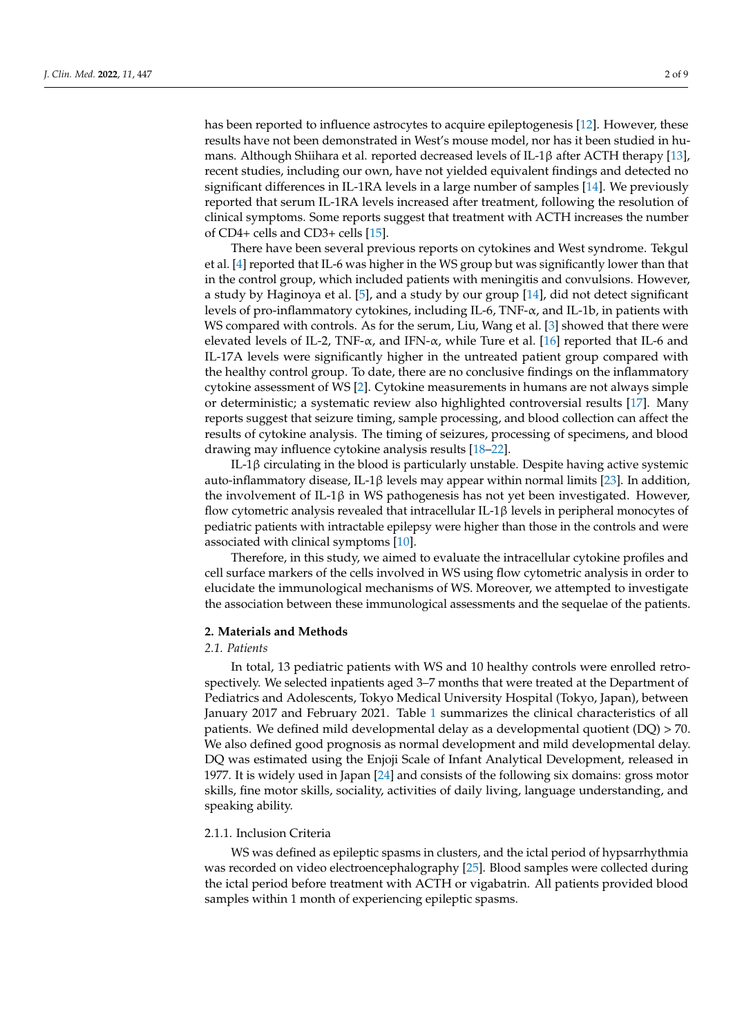has been reported to influence astrocytes to acquire epileptogenesis [\[12\]](#page-7-7). However, these results have not been demonstrated in West's mouse model, nor has it been studied in humans. Although Shiihara et al. reported decreased levels of IL-1β after ACTH therapy [\[13\]](#page-7-9), recent studies, including our own, have not yielded equivalent findings and detected no significant differences in IL-1RA levels in a large number of samples [\[14\]](#page-7-10). We previously reported that serum IL-1RA levels increased after treatment, following the resolution of clinical symptoms. Some reports suggest that treatment with ACTH increases the number of CD4+ cells and CD3+ cells [\[15\]](#page-7-11).

There have been several previous reports on cytokines and West syndrome. Tekgul et al. [\[4\]](#page-7-12) reported that IL-6 was higher in the WS group but was significantly lower than that in the control group, which included patients with meningitis and convulsions. However, a study by Haginoya et al. [\[5\]](#page-7-2), and a study by our group [\[14\]](#page-7-10), did not detect significant levels of pro-inflammatory cytokines, including IL-6, TNF-α, and IL-1b, in patients with WS compared with controls. As for the serum, Liu, Wang et al. [\[3\]](#page-7-13) showed that there were elevated levels of IL-2, TNF-α, and IFN-α, while Ture et al. [\[16\]](#page-7-14) reported that IL-6 and IL-17A levels were significantly higher in the untreated patient group compared with the healthy control group. To date, there are no conclusive findings on the inflammatory cytokine assessment of WS [\[2\]](#page-7-1). Cytokine measurements in humans are not always simple or deterministic; a systematic review also highlighted controversial results [\[17\]](#page-7-15). Many reports suggest that seizure timing, sample processing, and blood collection can affect the results of cytokine analysis. The timing of seizures, processing of specimens, and blood drawing may influence cytokine analysis results [\[18](#page-7-16)[–22\]](#page-7-17).

IL-1β circulating in the blood is particularly unstable. Despite having active systemic auto-inflammatory disease, IL-1β levels may appear within normal limits [\[23\]](#page-8-0). In addition, the involvement of IL-1β in WS pathogenesis has not yet been investigated. However, flow cytometric analysis revealed that intracellular IL-1β levels in peripheral monocytes of pediatric patients with intractable epilepsy were higher than those in the controls and were associated with clinical symptoms [\[10\]](#page-7-18).

Therefore, in this study, we aimed to evaluate the intracellular cytokine profiles and cell surface markers of the cells involved in WS using flow cytometric analysis in order to elucidate the immunological mechanisms of WS. Moreover, we attempted to investigate the association between these immunological assessments and the sequelae of the patients.

## **2. Materials and Methods**

# *2.1. Patients*

In total, 13 pediatric patients with WS and 10 healthy controls were enrolled retrospectively. We selected inpatients aged 3–7 months that were treated at the Department of Pediatrics and Adolescents, Tokyo Medical University Hospital (Tokyo, Japan), between January 2017 and February 2021. Table [1](#page-2-0) summarizes the clinical characteristics of all patients. We defined mild developmental delay as a developmental quotient (DQ) > 70. We also defined good prognosis as normal development and mild developmental delay. DQ was estimated using the Enjoji Scale of Infant Analytical Development, released in 1977. It is widely used in Japan [\[24\]](#page-8-1) and consists of the following six domains: gross motor skills, fine motor skills, sociality, activities of daily living, language understanding, and speaking ability.

# 2.1.1. Inclusion Criteria

WS was defined as epileptic spasms in clusters, and the ictal period of hypsarrhythmia was recorded on video electroencephalography [\[25\]](#page-8-2). Blood samples were collected during the ictal period before treatment with ACTH or vigabatrin. All patients provided blood samples within 1 month of experiencing epileptic spasms.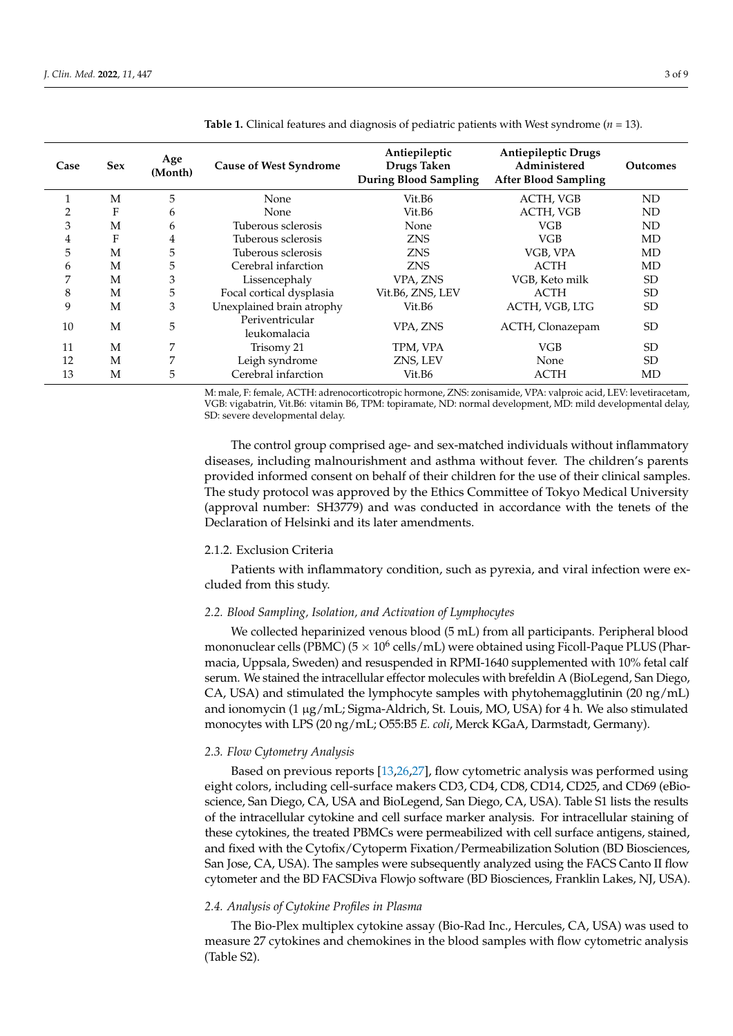| Case | <b>Sex</b> | Age<br>(Month) | <b>Cause of West Syndrome</b>   | Antiepileptic<br>Drugs Taken<br><b>During Blood Sampling</b> | <b>Antiepileptic Drugs</b><br>Administered<br><b>After Blood Sampling</b> | <b>Outcomes</b> |
|------|------------|----------------|---------------------------------|--------------------------------------------------------------|---------------------------------------------------------------------------|-----------------|
| 1    | M          | 5              | None                            | Vit.B6                                                       | ACTH, VGB                                                                 | ND              |
| 2    | F          | 6              | <b>None</b>                     | Vit.B6                                                       | ACTH, VGB                                                                 | ND              |
| 3    | M          | 6              | Tuberous sclerosis              | None                                                         | <b>VGB</b>                                                                | ND              |
| 4    | F          | 4              | Tuberous sclerosis              | <b>ZNS</b>                                                   | VGB                                                                       | MD              |
| 5    | M          | 5              | Tuberous sclerosis              | <b>ZNS</b>                                                   | VGB, VPA                                                                  | MD              |
| 6    | М          | 5              | Cerebral infarction             | <b>ZNS</b>                                                   | <b>ACTH</b>                                                               | MD              |
| 7    | M          | 3              | Lissencephaly                   | VPA, ZNS                                                     | VGB, Keto milk                                                            | <b>SD</b>       |
| 8    | M          | 5              | Focal cortical dysplasia        | Vit.B6, ZNS, LEV                                             | <b>ACTH</b>                                                               | <b>SD</b>       |
| 9    | M          | 3              | Unexplained brain atrophy       | Vit.B6                                                       | ACTH, VGB, LTG                                                            | <b>SD</b>       |
| 10   | M          | 5              | Periventricular<br>leukomalacia | VPA, ZNS                                                     | ACTH, Clonazepam                                                          | <b>SD</b>       |
| 11   | M          | 7              | Trisomy 21                      | TPM, VPA                                                     | <b>VGB</b>                                                                | <b>SD</b>       |
| 12   | M          | 7              | Leigh syndrome                  | ZNS, LEV                                                     | None                                                                      | SD              |
| 13   | М          | 5              | Cerebral infarction             | Vit.B6                                                       | <b>ACTH</b>                                                               | MD              |

<span id="page-2-0"></span>**Table 1.** Clinical features and diagnosis of pediatric patients with West syndrome (*n* = 13).

M: male, F: female, ACTH: adrenocorticotropic hormone, ZNS: zonisamide, VPA: valproic acid, LEV: levetiracetam, VGB: vigabatrin, Vit.B6: vitamin B6, TPM: topiramate, ND: normal development, MD: mild developmental delay, SD: severe developmental delay.

The control group comprised age- and sex-matched individuals without inflammatory diseases, including malnourishment and asthma without fever. The children's parents provided informed consent on behalf of their children for the use of their clinical samples. The study protocol was approved by the Ethics Committee of Tokyo Medical University (approval number: SH3779) and was conducted in accordance with the tenets of the Declaration of Helsinki and its later amendments.

# 2.1.2. Exclusion Criteria

Patients with inflammatory condition, such as pyrexia, and viral infection were excluded from this study.

# *2.2. Blood Sampling, Isolation, and Activation of Lymphocytes*

We collected heparinized venous blood (5 mL) from all participants. Peripheral blood mononuclear cells (PBMC) (5  $\times$  10<sup>6</sup> cells/mL) were obtained using Ficoll-Paque PLUS (Pharmacia, Uppsala, Sweden) and resuspended in RPMI-1640 supplemented with 10% fetal calf serum. We stained the intracellular effector molecules with brefeldin A (BioLegend, San Diego, CA, USA) and stimulated the lymphocyte samples with phytohemagglutinin  $(20 \text{ ng/mL})$ and ionomycin  $(1 \mu g/mL)$ ; Sigma-Aldrich, St. Louis, MO, USA) for 4 h. We also stimulated monocytes with LPS (20 ng/mL; O55:B5 *E. coli*, Merck KGaA, Darmstadt, Germany).

## *2.3. Flow Cytometry Analysis*

Based on previous reports [\[13](#page-7-9)[,26](#page-8-3)[,27\]](#page-8-4), flow cytometric analysis was performed using eight colors, including cell-surface makers CD3, CD4, CD8, CD14, CD25, and CD69 (eBioscience, San Diego, CA, USA and BioLegend, San Diego, CA, USA). Table S1 lists the results of the intracellular cytokine and cell surface marker analysis. For intracellular staining of these cytokines, the treated PBMCs were permeabilized with cell surface antigens, stained, and fixed with the Cytofix/Cytoperm Fixation/Permeabilization Solution (BD Biosciences, San Jose, CA, USA). The samples were subsequently analyzed using the FACS Canto II flow cytometer and the BD FACSDiva Flowjo software (BD Biosciences, Franklin Lakes, NJ, USA).

# *2.4. Analysis of Cytokine Profiles in Plasma*

The Bio-Plex multiplex cytokine assay (Bio-Rad Inc., Hercules, CA, USA) was used to measure 27 cytokines and chemokines in the blood samples with flow cytometric analysis (Table S2).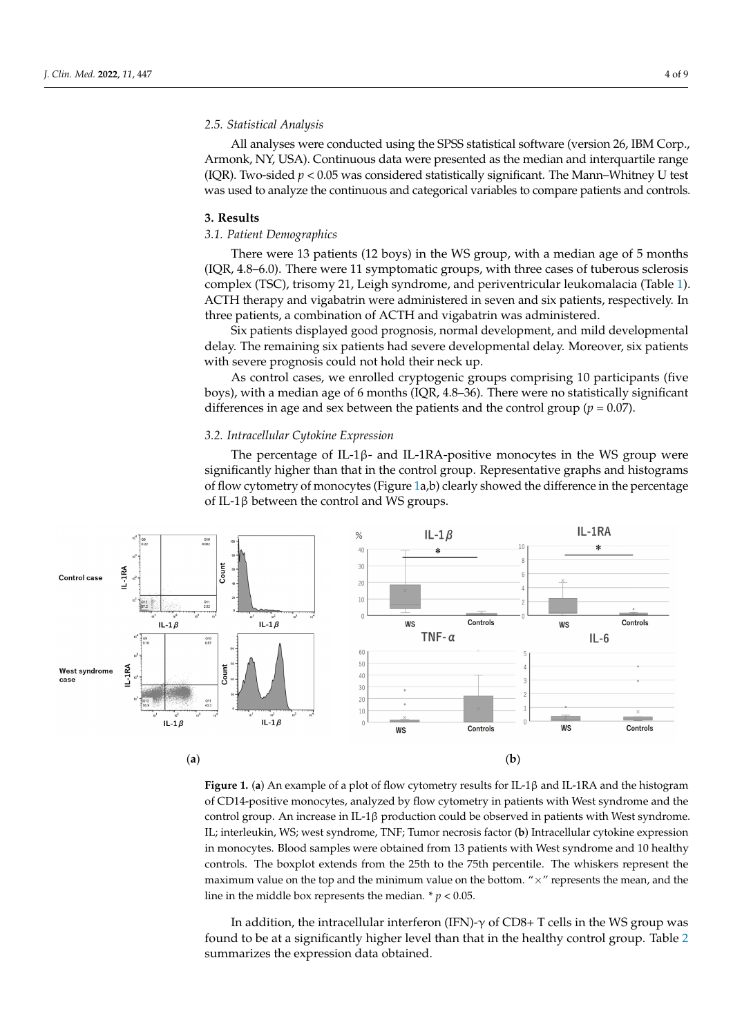# *2.5. Statistical Analysis*

All analyses were conducted using the SPSS statistical software (version 26, IBM Corp., Armonk, NY, USA). Continuous data were presented as the median and interquartile range (IQR). Two-sided *p* < 0.05 was considered statistically significant. The Mann–Whitney U test was used to analyze the continuous and categorical variables to compare patients and controls.

#### **3. Results**

# *3.1. Patient Demographics*

There were 13 patients (12 boys) in the WS group, with a median age of 5 months (IQR, 4.8–6.0). There were 11 symptomatic groups, with three cases of tuberous sclerosis complex (TSC), trisomy 21, Leigh syndrome, and periventricular leukomalacia (Table [1\)](#page-2-0). ACTH therapy and vigabatrin were administered in seven and six patients, respectively. In three patients, a combination of ACTH and vigabatrin was administered.

Six patients displayed good prognosis, normal development, and mild developmental delay. The remaining six patients had severe developmental delay. Moreover, six patients with severe prognosis could not hold their neck up.

As control cases, we enrolled cryptogenic groups comprising 10 participants (five boys), with a median age of 6 months (IQR, 4.8–36). There were no statistically significant differences in age and sex between the patients and the control group ( $p = 0.07$ ).

## <span id="page-3-0"></span>*3.2. Intracellular Cytokine Expression*

The percentage of IL-1 $\beta$ - and IL-1RA-positive monocytes in the WS group were significantly higher than that in the control group. Representative graphs and histograms of flow cytometry of monocytes (Figure [1a](#page-3-0),b) clearly showed the difference in the percentage of IL-1β between the control and WS groups.



**Figure 1.** (a) An example of a plot of flow cytometry results for IL-1β and IL-1RA and the histogram of CD14-positive monocytes, analyzed by flow cytometry in patients with West syndrome and the control group. An increase in IL-1β production could be observed in patients with West syndrome. IL; interleukin, WS; west syndrome, TNF; Tumor necrosis factor (**b**) Intracellular cytokine expression in monocytes. Blood samples were obtained from 13 patients with West syndrome and 10 healthy maximum value on the top and the minimum value on the bottom. " $\times$ " represents the mean, and the line in the middle box represents the median.  $*$   $p$  < 0.05. controls. The boxplot extends from the 25th to the 75th percentile. The whiskers represent the

 $W_{\text{tot}} = (1 + \epsilon)^{-1} W_1 + (1 + \epsilon)^{-1} W_2 + (1 + \epsilon)^{-1} W_3$ In addition, the intracellular interferon (IFN)-γ of CD8+ T cells in the WS group was found to be at a significantly higher level than that in the healthy control group. Table  $2$ summarizes the expression data obtained.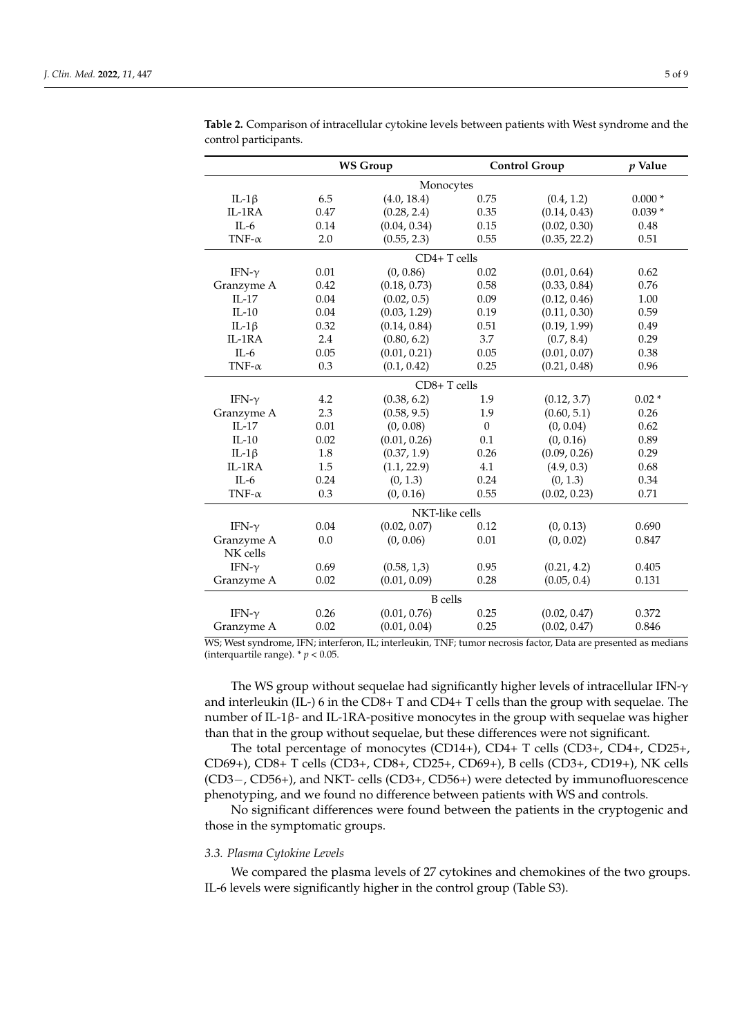|               |      | <b>WS Group</b> |              | <b>Control Group</b> | $p$ Value |  |  |  |  |
|---------------|------|-----------------|--------------|----------------------|-----------|--|--|--|--|
| Monocytes     |      |                 |              |                      |           |  |  |  |  |
| IL-1 $\beta$  | 6.5  | (4.0, 18.4)     | 0.75         | (0.4, 1.2)           | $0.000*$  |  |  |  |  |
| IL-1RA        | 0.47 | (0.28, 2.4)     | 0.35         | (0.14, 0.43)         | $0.039*$  |  |  |  |  |
| $II - 6$      | 0.14 | (0.04, 0.34)    | 0.15         | (0.02, 0.30)         | 0.48      |  |  |  |  |
| TNF- $\alpha$ | 2.0  | (0.55, 2.3)     | 0.55         | (0.35, 22.2)         | 0.51      |  |  |  |  |
|               |      | $CD4+T$ cells   |              |                      |           |  |  |  |  |
| IFN- $\gamma$ | 0.01 | (0, 0.86)       | 0.02         | (0.01, 0.64)         | 0.62      |  |  |  |  |
| Granzyme A    | 0.42 | (0.18, 0.73)    | 0.58         | (0.33, 0.84)         | 0.76      |  |  |  |  |
| $IL-17$       | 0.04 | (0.02, 0.5)     | 0.09         | (0.12, 0.46)         | 1.00      |  |  |  |  |
| $IL-10$       | 0.04 | (0.03, 1.29)    | 0.19         | (0.11, 0.30)         | 0.59      |  |  |  |  |
| IL-1 $\beta$  | 0.32 | (0.14, 0.84)    | 0.51         | (0.19, 1.99)         | 0.49      |  |  |  |  |
| IL-1RA        | 2.4  | (0.80, 6.2)     | 3.7          | (0.7, 8.4)           | 0.29      |  |  |  |  |
| $IL-6$        | 0.05 | (0.01, 0.21)    | 0.05         | (0.01, 0.07)         | 0.38      |  |  |  |  |
| TNF- $\alpha$ | 0.3  | (0.1, 0.42)     | 0.25         | (0.21, 0.48)         | 0.96      |  |  |  |  |
|               |      | CD8+T cells     |              |                      |           |  |  |  |  |
| IFN- $\gamma$ | 4.2  | (0.38, 6.2)     | 1.9          | (0.12, 3.7)          | $0.02*$   |  |  |  |  |
| Granzyme A    | 2.3  | (0.58, 9.5)     | 1.9          | (0.60, 5.1)          | 0.26      |  |  |  |  |
| $IL-17$       | 0.01 | (0, 0.08)       | $\mathbf{0}$ | (0, 0.04)            | 0.62      |  |  |  |  |
| $IL-10$       | 0.02 | (0.01, 0.26)    | 0.1          | (0, 0.16)            | 0.89      |  |  |  |  |
| IL-1 $\beta$  | 1.8  | (0.37, 1.9)     | 0.26         | (0.09, 0.26)         | 0.29      |  |  |  |  |
| IL-1RA        | 1.5  | (1.1, 22.9)     | 4.1          | (4.9, 0.3)           | 0.68      |  |  |  |  |
| $IL-6$        | 0.24 | (0, 1.3)        | 0.24         | (0, 1.3)             | 0.34      |  |  |  |  |
| TNF- $\alpha$ | 0.3  | (0, 0.16)       | 0.55         | (0.02, 0.23)         | 0.71      |  |  |  |  |
|               |      | NKT-like cells  |              |                      |           |  |  |  |  |
| IFN- $\gamma$ | 0.04 | (0.02, 0.07)    | 0.12         | (0, 0.13)            | 0.690     |  |  |  |  |
| Granzyme A    | 0.0  | (0, 0.06)       | 0.01         | (0, 0.02)            | 0.847     |  |  |  |  |
| NK cells      |      |                 |              |                      |           |  |  |  |  |
| IFN- $\gamma$ | 0.69 | (0.58, 1, 3)    | 0.95         | (0.21, 4.2)          | 0.405     |  |  |  |  |
| Granzyme A    | 0.02 | (0.01, 0.09)    | 0.28         | (0.05, 0.4)          | 0.131     |  |  |  |  |
|               |      | <b>B</b> cells  |              |                      |           |  |  |  |  |
| IFN- $\gamma$ | 0.26 | (0.01, 0.76)    | 0.25         | (0.02, 0.47)         | 0.372     |  |  |  |  |
| Granzyme A    | 0.02 | (0.01, 0.04)    | 0.25         | (0.02, 0.47)         | 0.846     |  |  |  |  |

<span id="page-4-0"></span>**Table 2.** Comparison of intracellular cytokine levels between patients with West syndrome and the control participants.

WS; West syndrome, IFN; interferon, IL; interleukin, TNF; tumor necrosis factor, Data are presented as medians (interquartile range).  $p < 0.05$ .

The WS group without sequelae had significantly higher levels of intracellular IFN-γ and interleukin (IL-) 6 in the CD8+ T and CD4+ T cells than the group with sequelae. The number of IL-1β- and IL-1RA-positive monocytes in the group with sequelae was higher than that in the group without sequelae, but these differences were not significant.

The total percentage of monocytes (CD14+), CD4+ T cells (CD3+, CD4+, CD25+, CD69+), CD8+ T cells (CD3+, CD8+, CD25+, CD69+), B cells (CD3+, CD19+), NK cells (CD3−, CD56+), and NKT- cells (CD3+, CD56+) were detected by immunofluorescence phenotyping, and we found no difference between patients with WS and controls.

No significant differences were found between the patients in the cryptogenic and those in the symptomatic groups.

# *3.3. Plasma Cytokine Levels*

We compared the plasma levels of 27 cytokines and chemokines of the two groups. IL-6 levels were significantly higher in the control group (Table S3).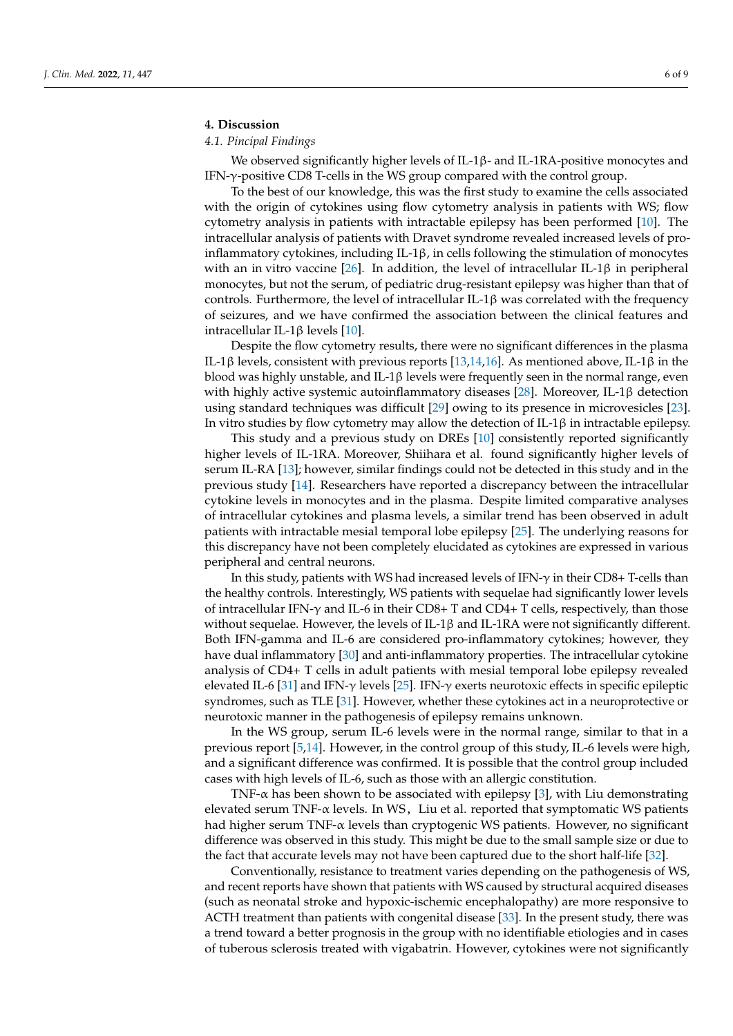# **4. Discussion**

# *4.1. Pincipal Findings*

We observed significantly higher levels of IL-1β- and IL-1RA-positive monocytes and IFN-γ-positive CD8 T-cells in the WS group compared with the control group.

To the best of our knowledge, this was the first study to examine the cells associated with the origin of cytokines using flow cytometry analysis in patients with WS; flow cytometry analysis in patients with intractable epilepsy has been performed [\[10\]](#page-7-18). The intracellular analysis of patients with Dravet syndrome revealed increased levels of proinflammatory cytokines, including  $IL-1\beta$ , in cells following the stimulation of monocytes with an in vitro vaccine [\[26\]](#page-8-3). In addition, the level of intracellular IL-1 $\beta$  in peripheral monocytes, but not the serum, of pediatric drug-resistant epilepsy was higher than that of controls. Furthermore, the level of intracellular IL-1 $\beta$  was correlated with the frequency of seizures, and we have confirmed the association between the clinical features and intracellular IL-1β levels [\[10\]](#page-7-18).

Despite the flow cytometry results, there were no significant differences in the plasma IL-1β levels, consistent with previous reports [\[13,](#page-7-9)[14,](#page-7-10)[16\]](#page-7-14). As mentioned above, IL-1β in the blood was highly unstable, and IL-1 $\beta$  levels were frequently seen in the normal range, even with highly active systemic autoinflammatory diseases [\[28\]](#page-8-5). Moreover, IL-1β detection using standard techniques was difficult [\[29\]](#page-8-6) owing to its presence in microvesicles [\[23\]](#page-8-0). In vitro studies by flow cytometry may allow the detection of IL-1β in intractable epilepsy.

This study and a previous study on DREs [\[10\]](#page-7-18) consistently reported significantly higher levels of IL-1RA. Moreover, Shiihara et al. found significantly higher levels of serum IL-RA [\[13\]](#page-7-9); however, similar findings could not be detected in this study and in the previous study [\[14\]](#page-7-10). Researchers have reported a discrepancy between the intracellular cytokine levels in monocytes and in the plasma. Despite limited comparative analyses of intracellular cytokines and plasma levels, a similar trend has been observed in adult patients with intractable mesial temporal lobe epilepsy [\[25\]](#page-8-2). The underlying reasons for this discrepancy have not been completely elucidated as cytokines are expressed in various peripheral and central neurons.

In this study, patients with WS had increased levels of IFN- $\gamma$  in their CD8+ T-cells than the healthy controls. Interestingly, WS patients with sequelae had significantly lower levels of intracellular IFN- $\gamma$  and IL-6 in their CD8+ T and CD4+ T cells, respectively, than those without sequelae. However, the levels of IL-1β and IL-1RA were not significantly different. Both IFN-gamma and IL-6 are considered pro-inflammatory cytokines; however, they have dual inflammatory [\[30\]](#page-8-7) and anti-inflammatory properties. The intracellular cytokine analysis of CD4+ T cells in adult patients with mesial temporal lobe epilepsy revealed elevated IL-6 [\[31\]](#page-8-8) and IFN-γ levels [\[25\]](#page-8-2). IFN-γ exerts neurotoxic effects in specific epileptic syndromes, such as TLE [\[31\]](#page-8-8). However, whether these cytokines act in a neuroprotective or neurotoxic manner in the pathogenesis of epilepsy remains unknown.

In the WS group, serum IL-6 levels were in the normal range, similar to that in a previous report [\[5,](#page-7-2)[14\]](#page-7-10). However, in the control group of this study, IL-6 levels were high, and a significant difference was confirmed. It is possible that the control group included cases with high levels of IL-6, such as those with an allergic constitution.

TNF- $\alpha$  has been shown to be associated with epilepsy [\[3\]](#page-7-13), with Liu demonstrating elevated serum TNF-α levels. In WS, Liu et al. reported that symptomatic WS patients had higher serum TNF-α levels than cryptogenic WS patients. However, no significant difference was observed in this study. This might be due to the small sample size or due to the fact that accurate levels may not have been captured due to the short half-life [\[32\]](#page-8-9).

Conventionally, resistance to treatment varies depending on the pathogenesis of WS, and recent reports have shown that patients with WS caused by structural acquired diseases (such as neonatal stroke and hypoxic-ischemic encephalopathy) are more responsive to ACTH treatment than patients with congenital disease [\[33\]](#page-8-10). In the present study, there was a trend toward a better prognosis in the group with no identifiable etiologies and in cases of tuberous sclerosis treated with vigabatrin. However, cytokines were not significantly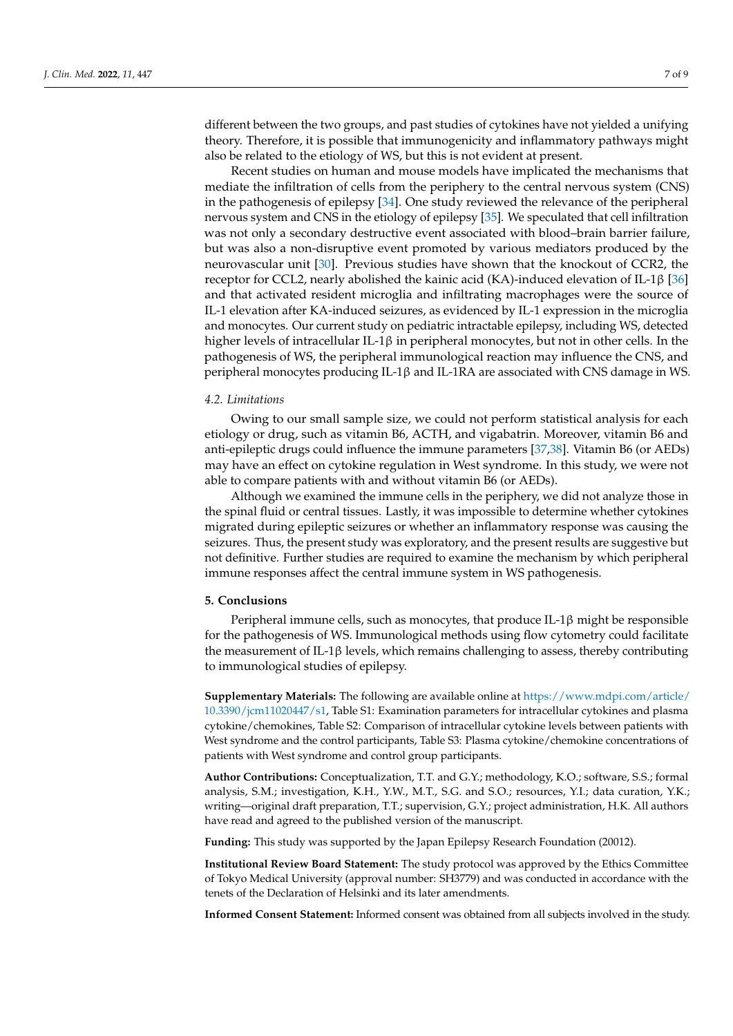different between the two groups, and past studies of cytokines have not yielded a unifying theory. Therefore, it is possible that immunogenicity and inflammatory pathways might also be related to the etiology of WS, but this is not evident at present.

Recent studies on human and mouse models have implicated the mechanisms that mediate the infiltration of cells from the periphery to the central nervous system (CNS) in the pathogenesis of epilepsy [\[34\]](#page-8-11). One study reviewed the relevance of the peripheral nervous system and CNS in the etiology of epilepsy [\[35\]](#page-8-12). We speculated that cell infiltration was not only a secondary destructive event associated with blood–brain barrier failure, but was also a non-disruptive event promoted by various mediators produced by the neurovascular unit [\[30\]](#page-8-7). Previous studies have shown that the knockout of CCR2, the receptor for CCL2, nearly abolished the kainic acid (KA)-induced elevation of IL-1β [\[36\]](#page-8-13) and that activated resident microglia and infiltrating macrophages were the source of IL-1 elevation after KA-induced seizures, as evidenced by IL-1 expression in the microglia and monocytes. Our current study on pediatric intractable epilepsy, including WS, detected higher levels of intracellular IL-1β in peripheral monocytes, but not in other cells. In the pathogenesis of WS, the peripheral immunological reaction may influence the CNS, and peripheral monocytes producing IL-1β and IL-1RA are associated with CNS damage in WS.

# *4.2. Limitations*

Owing to our small sample size, we could not perform statistical analysis for each etiology or drug, such as vitamin B6, ACTH, and vigabatrin. Moreover, vitamin B6 and anti-epileptic drugs could influence the immune parameters [\[37](#page-8-14)[,38\]](#page-8-15). Vitamin B6 (or AEDs) may have an effect on cytokine regulation in West syndrome. In this study, we were not able to compare patients with and without vitamin B6 (or AEDs).

Although we examined the immune cells in the periphery, we did not analyze those in the spinal fluid or central tissues. Lastly, it was impossible to determine whether cytokines migrated during epileptic seizures or whether an inflammatory response was causing the seizures. Thus, the present study was exploratory, and the present results are suggestive but not definitive. Further studies are required to examine the mechanism by which peripheral immune responses affect the central immune system in WS pathogenesis.

# **5. Conclusions**

Peripheral immune cells, such as monocytes, that produce IL-1β might be responsible for the pathogenesis of WS. Immunological methods using flow cytometry could facilitate the measurement of IL-1 $\beta$  levels, which remains challenging to assess, thereby contributing to immunological studies of epilepsy.

**Supplementary Materials:** The following are available online at [https://www.mdpi.com/article/](https://www.mdpi.com/article/10.3390/jcm11020447/s1) [10.3390/jcm11020447/s1,](https://www.mdpi.com/article/10.3390/jcm11020447/s1) Table S1: Examination parameters for intracellular cytokines and plasma cytokine/chemokines, Table S2: Comparison of intracellular cytokine levels between patients with West syndrome and the control participants, Table S3: Plasma cytokine/chemokine concentrations of patients with West syndrome and control group participants.

**Author Contributions:** Conceptualization, T.T. and G.Y.; methodology, K.O.; software, S.S.; formal analysis, S.M.; investigation, K.H., Y.W., M.T., S.G. and S.O.; resources, Y.I.; data curation, Y.K.; writing—original draft preparation, T.T.; supervision, G.Y.; project administration, H.K. All authors have read and agreed to the published version of the manuscript.

**Funding:** This study was supported by the Japan Epilepsy Research Foundation (20012).

**Institutional Review Board Statement:** The study protocol was approved by the Ethics Committee of Tokyo Medical University (approval number: SH3779) and was conducted in accordance with the tenets of the Declaration of Helsinki and its later amendments.

**Informed Consent Statement:** Informed consent was obtained from all subjects involved in the study.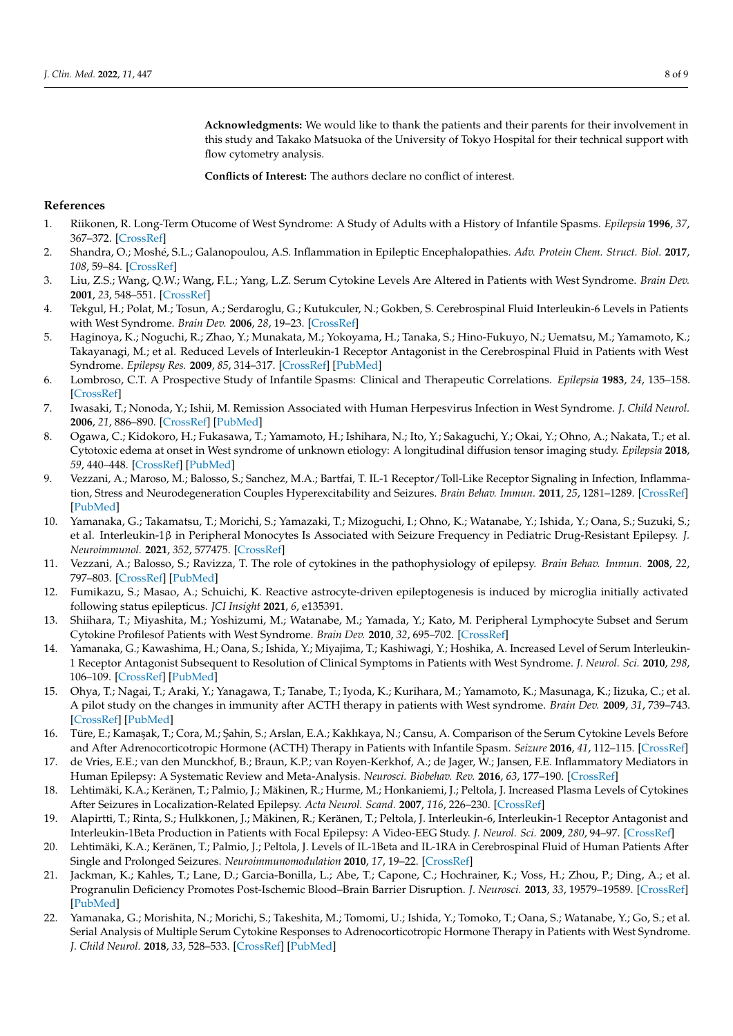**Acknowledgments:** We would like to thank the patients and their parents for their involvement in this study and Takako Matsuoka of the University of Tokyo Hospital for their technical support with flow cytometry analysis.

**Conflicts of Interest:** The authors declare no conflict of interest.

# **References**

- <span id="page-7-0"></span>1. Riikonen, R. Long-Term Otucome of West Syndrome: A Study of Adults with a History of Infantile Spasms. *Epilepsia* **1996**, *37*, 367–372. [\[CrossRef\]](http://doi.org/10.1111/j.1528-1157.1996.tb00573.x)
- <span id="page-7-1"></span>2. Shandra, O.; Moshé, S.L.; Galanopoulou, A.S. Inflammation in Epileptic Encephalopathies. *Adv. Protein Chem. Struct. Biol.* **2017**, *108*, 59–84. [\[CrossRef\]](http://doi.org/10.1016/bs.apcsb.2017.01.005)
- <span id="page-7-13"></span>3. Liu, Z.S.; Wang, Q.W.; Wang, F.L.; Yang, L.Z. Serum Cytokine Levels Are Altered in Patients with West Syndrome. *Brain Dev.* **2001**, *23*, 548–551. [\[CrossRef\]](http://doi.org/10.1016/S0387-7604(01)00313-8)
- <span id="page-7-12"></span>4. Tekgul, H.; Polat, M.; Tosun, A.; Serdaroglu, G.; Kutukculer, N.; Gokben, S. Cerebrospinal Fluid Interleukin-6 Levels in Patients with West Syndrome. *Brain Dev.* **2006**, *28*, 19–23. [\[CrossRef\]](http://doi.org/10.1016/j.braindev.2005.03.007)
- <span id="page-7-2"></span>5. Haginoya, K.; Noguchi, R.; Zhao, Y.; Munakata, M.; Yokoyama, H.; Tanaka, S.; Hino-Fukuyo, N.; Uematsu, M.; Yamamoto, K.; Takayanagi, M.; et al. Reduced Levels of Interleukin-1 Receptor Antagonist in the Cerebrospinal Fluid in Patients with West Syndrome. *Epilepsy Res.* **2009**, *85*, 314–317. [\[CrossRef\]](http://doi.org/10.1016/j.eplepsyres.2009.03.013) [\[PubMed\]](http://www.ncbi.nlm.nih.gov/pubmed/19375283)
- <span id="page-7-3"></span>6. Lombroso, C.T. A Prospective Study of Infantile Spasms: Clinical and Therapeutic Correlations. *Epilepsia* **1983**, *24*, 135–158. [\[CrossRef\]](http://doi.org/10.1111/j.1528-1157.1983.tb04874.x)
- <span id="page-7-4"></span>7. Iwasaki, T.; Nonoda, Y.; Ishii, M. Remission Associated with Human Herpesvirus Infection in West Syndrome. *J. Child Neurol.* **2006**, *21*, 886–890. [\[CrossRef\]](http://doi.org/10.1177/08830738060210100401) [\[PubMed\]](http://www.ncbi.nlm.nih.gov/pubmed/17005106)
- <span id="page-7-5"></span>8. Ogawa, C.; Kidokoro, H.; Fukasawa, T.; Yamamoto, H.; Ishihara, N.; Ito, Y.; Sakaguchi, Y.; Okai, Y.; Ohno, A.; Nakata, T.; et al. Cytotoxic edema at onset in West syndrome of unknown etiology: A longitudinal diffusion tensor imaging study. *Epilepsia* **2018**, *59*, 440–448. [\[CrossRef\]](http://doi.org/10.1111/epi.13988) [\[PubMed\]](http://www.ncbi.nlm.nih.gov/pubmed/29315514)
- <span id="page-7-6"></span>9. Vezzani, A.; Maroso, M.; Balosso, S.; Sanchez, M.A.; Bartfai, T. IL-1 Receptor/Toll-Like Receptor Signaling in Infection, Inflammation, Stress and Neurodegeneration Couples Hyperexcitability and Seizures. *Brain Behav. Immun.* **2011**, *25*, 1281–1289. [\[CrossRef\]](http://doi.org/10.1016/j.bbi.2011.03.018) [\[PubMed\]](http://www.ncbi.nlm.nih.gov/pubmed/21473909)
- <span id="page-7-18"></span>10. Yamanaka, G.; Takamatsu, T.; Morichi, S.; Yamazaki, T.; Mizoguchi, I.; Ohno, K.; Watanabe, Y.; Ishida, Y.; Oana, S.; Suzuki, S.; et al. Interleukin-1β in Peripheral Monocytes Is Associated with Seizure Frequency in Pediatric Drug-Resistant Epilepsy. *J. Neuroimmunol.* **2021**, *352*, 577475. [\[CrossRef\]](http://doi.org/10.1016/j.jneuroim.2021.577475)
- <span id="page-7-8"></span>11. Vezzani, A.; Balosso, S.; Ravizza, T. The role of cytokines in the pathophysiology of epilepsy. *Brain Behav. Immun.* **2008**, *22*, 797–803. [\[CrossRef\]](http://doi.org/10.1016/j.bbi.2008.03.009) [\[PubMed\]](http://www.ncbi.nlm.nih.gov/pubmed/18495419)
- <span id="page-7-7"></span>12. Fumikazu, S.; Masao, A.; Schuichi, K. Reactive astrocyte-driven epileptogenesis is induced by microglia initially activated following status epilepticus. *JCI Insight* **2021**, *6*, e135391.
- <span id="page-7-9"></span>13. Shiihara, T.; Miyashita, M.; Yoshizumi, M.; Watanabe, M.; Yamada, Y.; Kato, M. Peripheral Lymphocyte Subset and Serum Cytokine Profilesof Patients with West Syndrome. *Brain Dev.* **2010**, *32*, 695–702. [\[CrossRef\]](http://doi.org/10.1016/j.braindev.2009.11.001)
- <span id="page-7-10"></span>14. Yamanaka, G.; Kawashima, H.; Oana, S.; Ishida, Y.; Miyajima, T.; Kashiwagi, Y.; Hoshika, A. Increased Level of Serum Interleukin-1 Receptor Antagonist Subsequent to Resolution of Clinical Symptoms in Patients with West Syndrome. *J. Neurol. Sci.* **2010**, *298*, 106–109. [\[CrossRef\]](http://doi.org/10.1016/j.jns.2010.07.018) [\[PubMed\]](http://www.ncbi.nlm.nih.gov/pubmed/20807663)
- <span id="page-7-11"></span>15. Ohya, T.; Nagai, T.; Araki, Y.; Yanagawa, T.; Tanabe, T.; Iyoda, K.; Kurihara, M.; Yamamoto, K.; Masunaga, K.; Iizuka, C.; et al. A pilot study on the changes in immunity after ACTH therapy in patients with West syndrome. *Brain Dev.* **2009**, *31*, 739–743. [\[CrossRef\]](http://doi.org/10.1016/j.braindev.2008.11.007) [\[PubMed\]](http://www.ncbi.nlm.nih.gov/pubmed/19118960)
- <span id="page-7-14"></span>16. Türe, E.; Kamaşak, T.; Cora, M.; Şahin, S.; Arslan, E.A.; Kaklıkaya, N.; Cansu, A. Comparison of the Serum Cytokine Levels Before and After Adrenocorticotropic Hormone (ACTH) Therapy in Patients with Infantile Spasm. *Seizure* **2016**, *41*, 112–115. [\[CrossRef\]](http://doi.org/10.1016/j.seizure.2016.06.021)
- <span id="page-7-15"></span>17. de Vries, E.E.; van den Munckhof, B.; Braun, K.P.; van Royen-Kerkhof, A.; de Jager, W.; Jansen, F.E. Inflammatory Mediators in Human Epilepsy: A Systematic Review and Meta-Analysis. *Neurosci. Biobehav. Rev.* **2016**, *63*, 177–190. [\[CrossRef\]](http://doi.org/10.1016/j.neubiorev.2016.02.007)
- <span id="page-7-16"></span>18. Lehtimäki, K.A.; Keränen, T.; Palmio, J.; Mäkinen, R.; Hurme, M.; Honkaniemi, J.; Peltola, J. Increased Plasma Levels of Cytokines After Seizures in Localization-Related Epilepsy. *Acta Neurol. Scand.* **2007**, *116*, 226–230. [\[CrossRef\]](http://doi.org/10.1111/j.1600-0404.2007.00882.x)
- 19. Alapirtti, T.; Rinta, S.; Hulkkonen, J.; Mäkinen, R.; Keränen, T.; Peltola, J. Interleukin-6, Interleukin-1 Receptor Antagonist and Interleukin-1Beta Production in Patients with Focal Epilepsy: A Video-EEG Study. *J. Neurol. Sci.* **2009**, *280*, 94–97. [\[CrossRef\]](http://doi.org/10.1016/j.jns.2009.02.355)
- 20. Lehtimäki, K.A.; Keränen, T.; Palmio, J.; Peltola, J. Levels of IL-1Beta and IL-1RA in Cerebrospinal Fluid of Human Patients After Single and Prolonged Seizures. *Neuroimmunomodulation* **2010**, *17*, 19–22. [\[CrossRef\]](http://doi.org/10.1159/000243081)
- 21. Jackman, K.; Kahles, T.; Lane, D.; Garcia-Bonilla, L.; Abe, T.; Capone, C.; Hochrainer, K.; Voss, H.; Zhou, P.; Ding, A.; et al. Progranulin Deficiency Promotes Post-Ischemic Blood–Brain Barrier Disruption. *J. Neurosci.* **2013**, *33*, 19579–19589. [\[CrossRef\]](http://doi.org/10.1523/JNEUROSCI.4318-13.2013) [\[PubMed\]](http://www.ncbi.nlm.nih.gov/pubmed/24336722)
- <span id="page-7-17"></span>22. Yamanaka, G.; Morishita, N.; Morichi, S.; Takeshita, M.; Tomomi, U.; Ishida, Y.; Tomoko, T.; Oana, S.; Watanabe, Y.; Go, S.; et al. Serial Analysis of Multiple Serum Cytokine Responses to Adrenocorticotropic Hormone Therapy in Patients with West Syndrome. *J. Child Neurol.* **2018**, *33*, 528–533. [\[CrossRef\]](http://doi.org/10.1177/0883073818770764) [\[PubMed\]](http://www.ncbi.nlm.nih.gov/pubmed/29724126)